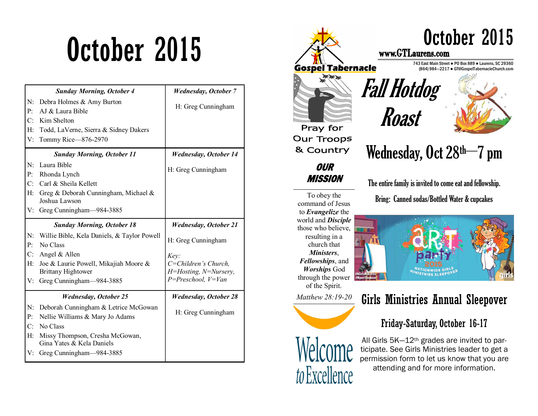|                            | <b>Sunday Morning, October 4</b>                                                                                                                                                                                | <b>Wednesday, October 7</b>                                                                                                            |
|----------------------------|-----------------------------------------------------------------------------------------------------------------------------------------------------------------------------------------------------------------|----------------------------------------------------------------------------------------------------------------------------------------|
| N:<br>P:<br>C:             | Debra Holmes & Amy Burton<br>AJ & Laura Bible<br>Kim Shelton                                                                                                                                                    | H: Greg Cunningham                                                                                                                     |
| H:<br>V:                   | Todd, LaVerne, Sierra & Sidney Dakers<br>Tommy Rice-876-2970                                                                                                                                                    |                                                                                                                                        |
|                            | <b>Sunday Morning, October 11</b>                                                                                                                                                                               | <b>Wednesday, October 14</b>                                                                                                           |
| N:<br>P:<br>C:             | Laura Bible<br>Rhonda Lynch<br>Carl & Sheila Kellett                                                                                                                                                            | H: Greg Cunningham                                                                                                                     |
| H:<br>V:                   | Greg & Deborah Cunningham, Michael &<br>Joshua Lawson<br>Greg Cunningham-984-3885                                                                                                                               |                                                                                                                                        |
|                            |                                                                                                                                                                                                                 |                                                                                                                                        |
| N:<br>P:<br>C:<br>H:<br>V: | <b>Sunday Morning, October 18</b><br>Willie Bible, Kela Daniels, & Taylor Powell<br>No Class<br>Angel & Allen<br>Joe & Laurie Powell, Mikajiah Moore &<br><b>Brittany Hightower</b><br>Greg Cunningham-984-3885 | <b>Wednesday</b> , October 21<br>H: Greg Cunningham<br>Key:<br>C=Children's Church,<br>H=Hosting, N=Nursery,<br>$P = Preschool, V=Van$ |
| N:<br>P:<br>C:<br>H:<br>V: | <b>Wednesday, October 25</b><br>Deborah Cunningham & Letrice McGowan<br>Nellie Williams & Mary Jo Adams<br>No Class<br>Missy Thompson, Cresha McGowan,<br>Gina Yates & Kela Daniels<br>Greg Cunningham-984-3885 | <b>Wednesday, October 28</b><br>H: Greg Cunningham                                                                                     |



through the power

of the Spirit. *Matthew 28:19-20* 

resulting in a church that *Ministers*, *Fellowships*, and *Worships* God



to Excellence

# Girls Ministries Annual Sleepover

## Friday-Saturday, October 16-17

All Girls 5K—12th grades are invited to participate. See Girls Ministries leader to get a permission form to let us know that you are attending and for more information.